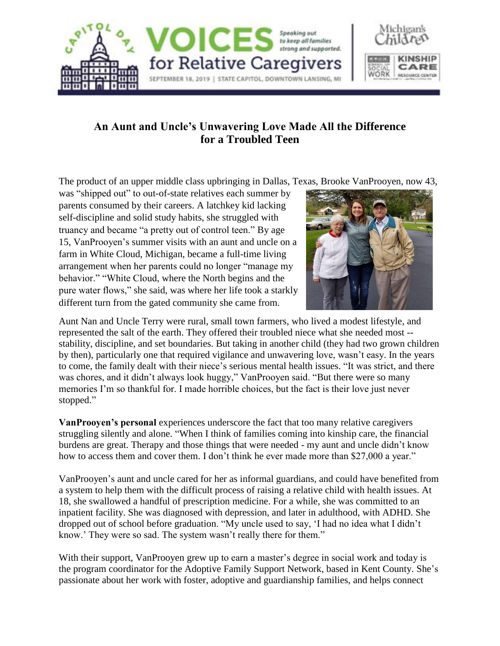

## **An Aunt and Uncle's Unwavering Love Made All the Difference for a Troubled Teen**

The product of an upper middle class upbringing in Dallas, Texas, Brooke VanProoyen, now 43,

was "shipped out" to out-of-state relatives each summer by parents consumed by their careers. A latchkey kid lacking self-discipline and solid study habits, she struggled with truancy and became "a pretty out of control teen." By age 15, VanProoyen's summer visits with an aunt and uncle on a farm in White Cloud, Michigan, became a full-time living arrangement when her parents could no longer "manage my behavior." "White Cloud, where the North begins and the pure water flows," she said, was where her life took a starkly different turn from the gated community she came from.



Aunt Nan and Uncle Terry were rural, small town farmers, who lived a modest lifestyle, and represented the salt of the earth. They offered their troubled niece what she needed most - stability, discipline, and set boundaries. But taking in another child (they had two grown children by then), particularly one that required vigilance and unwavering love, wasn't easy. In the years to come, the family dealt with their niece's serious mental health issues. "It was strict, and there was chores, and it didn't always look huggy," VanProoyen said. "But there were so many memories I'm so thankful for. I made horrible choices, but the fact is their love just never stopped."

**VanProoyen's personal** experiences underscore the fact that too many relative caregivers struggling silently and alone. "When I think of families coming into kinship care, the financial burdens are great. Therapy and those things that were needed - my aunt and uncle didn't know how to access them and cover them. I don't think he ever made more than \$27,000 a year."

VanProoyen's aunt and uncle cared for her as informal guardians, and could have benefited from a system to help them with the difficult process of raising a relative child with health issues. At 18, she swallowed a handful of prescription medicine. For a while, she was committed to an inpatient facility. She was diagnosed with depression, and later in adulthood, with ADHD. She dropped out of school before graduation. "My uncle used to say, 'I had no idea what I didn't know.' They were so sad. The system wasn't really there for them."

With their support, VanProoyen grew up to earn a master's degree in social work and today is the program coordinator for the Adoptive Family Support Network, based in Kent County. She's passionate about her work with foster, adoptive and guardianship families, and helps connect